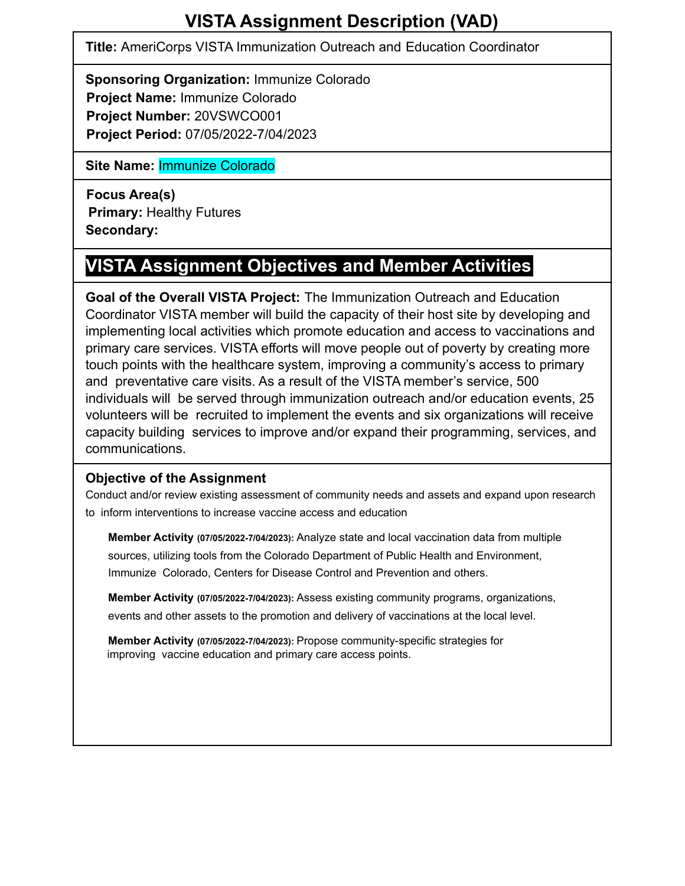**Title:** AmeriCorps VISTA Immunization Outreach and Education Coordinator

**Sponsoring Organization:** Immunize Colorado **Project Name:** Immunize Colorado **Project Number:** 20VSWCO001 **Project Period:** 07/05/2022-7/04/2023

**Site Name:** Immunize Colorado

**Focus Area(s) Primary:** Healthy Futures **Secondary:**

## **VISTA Assignment Objectives and Member Activities**

**Goal of the Overall VISTA Project:** The Immunization Outreach and Education Coordinator VISTA member will build the capacity of their host site by developing and implementing local activities which promote education and access to vaccinations and primary care services. VISTA efforts will move people out of poverty by creating more touch points with the healthcare system, improving a community's access to primary and preventative care visits. As a result of the VISTA member's service, 500 individuals will be served through immunization outreach and/or education events, 25 volunteers will be recruited to implement the events and six organizations will receive capacity building services to improve and/or expand their programming, services, and communications.

### **Objective of the Assignment**

Conduct and/or review existing assessment of community needs and assets and expand upon research to inform interventions to increase vaccine access and education

**Member Activity (07/05/2022-7/04/2023):** Analyze state and local vaccination data from multiple sources, utilizing tools from the Colorado Department of Public Health and Environment, Immunize Colorado, Centers for Disease Control and Prevention and others.

**Member Activity (07/05/2022-7/04/2023):** Assess existing community programs, organizations, events and other assets to the promotion and delivery of vaccinations at the local level.

**Member Activity (07/05/2022-7/04/2023):** Propose community-specific strategies for improving vaccine education and primary care access points.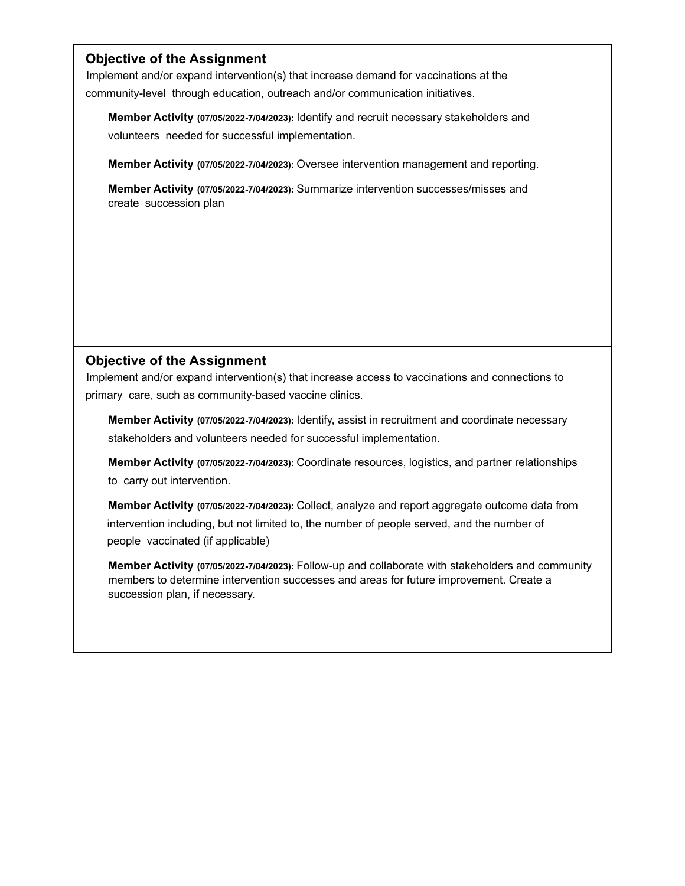Implement and/or expand intervention(s) that increase demand for vaccinations at the community-level through education, outreach and/or communication initiatives.

**Member Activity (07/05/2022-7/04/2023):** Identify and recruit necessary stakeholders and volunteers needed for successful implementation.

**Member Activity (07/05/2022-7/04/2023):** Oversee intervention management and reporting.

**Member Activity (07/05/2022-7/04/2023):** Summarize intervention successes/misses and create succession plan

### **Objective of the Assignment**

Implement and/or expand intervention(s) that increase access to vaccinations and connections to primary care, such as community-based vaccine clinics.

**Member Activity (07/05/2022-7/04/2023):** Identify, assist in recruitment and coordinate necessary stakeholders and volunteers needed for successful implementation.

**Member Activity (07/05/2022-7/04/2023):** Coordinate resources, logistics, and partner relationships to carry out intervention.

**Member Activity (07/05/2022-7/04/2023):** Collect, analyze and report aggregate outcome data from intervention including, but not limited to, the number of people served, and the number of people vaccinated (if applicable)

**Member Activity (07/05/2022-7/04/2023):** Follow-up and collaborate with stakeholders and community members to determine intervention successes and areas for future improvement. Create a succession plan, if necessary.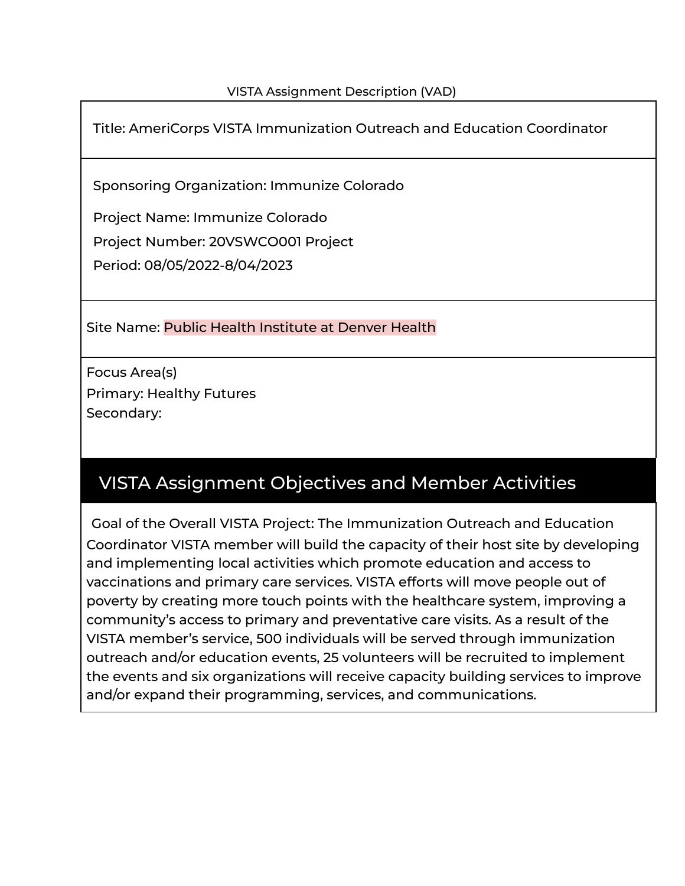Title: AmeriCorps VISTA Immunization Outreach and Education Coordinator

Sponsoring Organization: Immunize Colorado

Project Name: Immunize Colorado Project Number: 20VSWCO001 Project Period: 08/05/2022-8/04/2023

Site Name: Public Health Institute at Denver Health

Focus Area(s) Primary: Healthy Futures Secondary:

# VISTA Assignment Objectives and Member Activities

Goal of the Overall VISTA Project: The Immunization Outreach and Education Coordinator VISTA member will build the capacity of their host site by developing and implementing local activities which promote education and access to vaccinations and primary care services. VISTA efforts will move people out of poverty by creating more touch points with the healthcare system, improving a community's access to primary and preventative care visits. As a result of the VISTA member's service, 500 individuals will be served through immunization outreach and/or education events, 25 volunteers will be recruited to implement the events and six organizations will receive capacity building services to improve and/or expand their programming, services, and communications.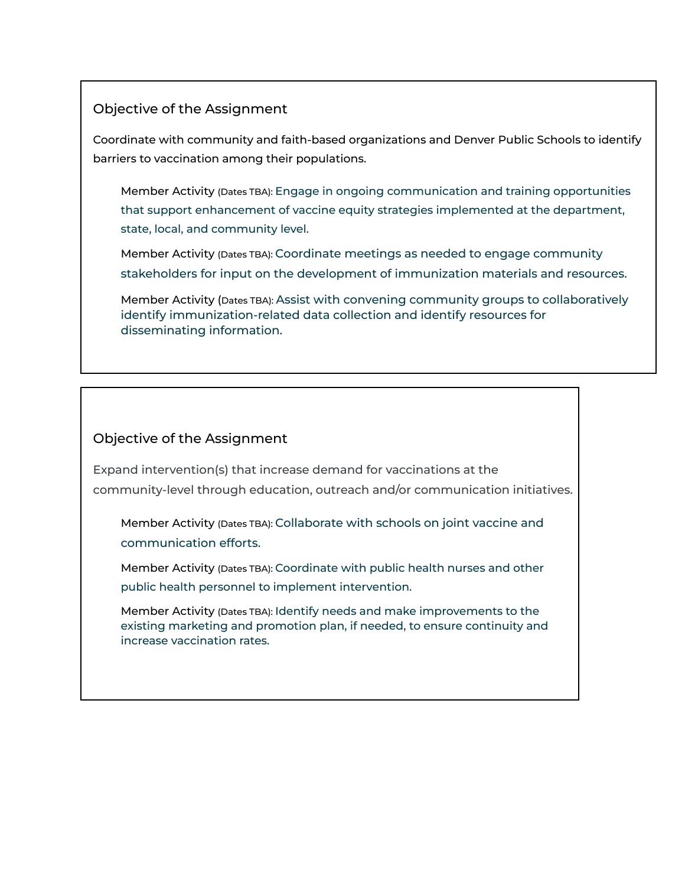Coordinate with community and faith-based organizations and Denver Public Schools to identify barriers to vaccination among their populations.

Member Activity (Dates TBA): Engage in ongoing communication and training opportunities that support enhancement of vaccine equity strategies implemented at the department, state, local, and community level.

Member Activity (Dates TBA): Coordinate meetings as needed to engage community stakeholders for input on the development of immunization materials and resources.

Member Activity (Dates TBA): Assist with convening community groups to collaboratively identify immunization-related data collection and identify resources for disseminating information.

### Objective of the Assignment

Expand intervention(s) that increase demand for vaccinations at the community-level through education, outreach and/or communication initiatives.

Member Activity (Dates TBA): Collaborate with schools on joint vaccine and communication efforts.

Member Activity (Dates TBA): Coordinate with public health nurses and other public health personnel to implement intervention.

Member Activity (Dates TBA): Identify needs and make improvements to the existing marketing and promotion plan, if needed, to ensure continuity and increase vaccination rates.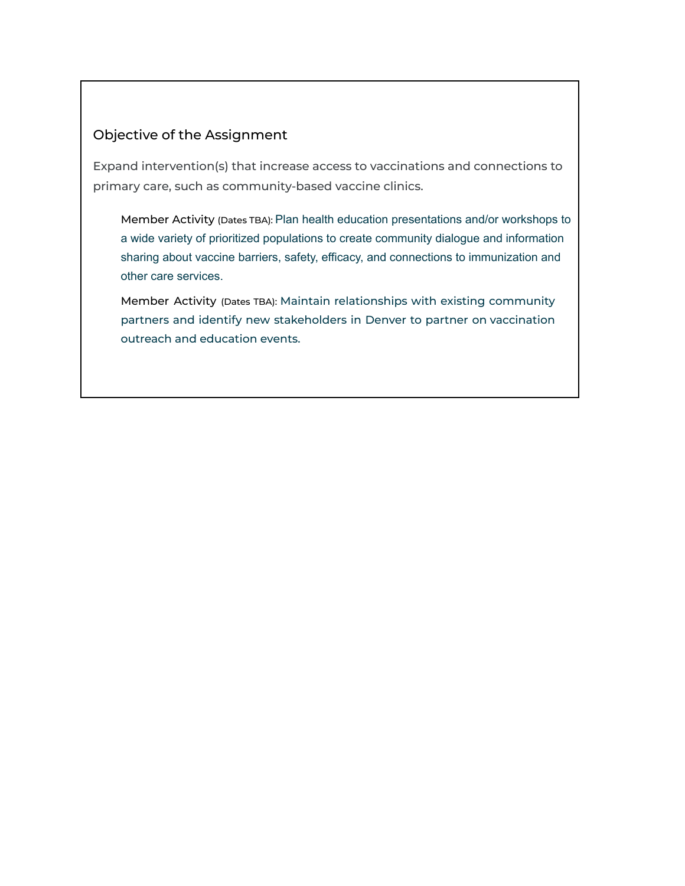Expand intervention(s) that increase access to vaccinations and connections to primary care, such as community-based vaccine clinics.

Member Activity (Dates TBA): Plan health education presentations and/or workshops to a wide variety of prioritized populations to create community dialogue and information sharing about vaccine barriers, safety, efficacy, and connections to immunization and other care services.

Member Activity (Dates TBA): Maintain relationships with existing community partners and identify new stakeholders in Denver to partner on vaccination outreach and education events.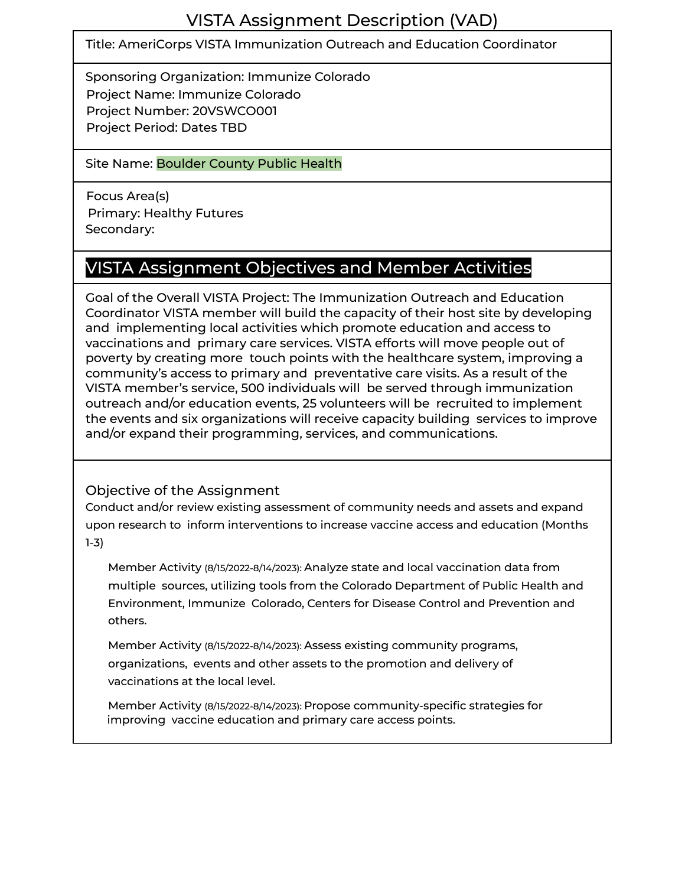#### Title: AmeriCorps VISTA Immunization Outreach and Education Coordinator

Sponsoring Organization: Immunize Colorado Project Name: Immunize Colorado Project Number: 20VSWCO001 Project Period: Dates TBD

#### Site Name: Boulder County Public Health

Focus Area(s) Primary: Healthy Futures Secondary:

### VISTA Assignment Objectives and Member Activities

Goal of the Overall VISTA Project: The Immunization Outreach and Education Coordinator VISTA member will build the capacity of their host site by developing and implementing local activities which promote education and access to vaccinations and primary care services. VISTA efforts will move people out of poverty by creating more touch points with the healthcare system, improving a community's access to primary and preventative care visits. As a result of the VISTA member's service, 500 individuals will be served through immunization outreach and/or education events, 25 volunteers will be recruited to implement the events and six organizations will receive capacity building services to improve and/or expand their programming, services, and communications.

### Objective of the Assignment

Conduct and/or review existing assessment of community needs and assets and expand upon research to inform interventions to increase vaccine access and education (Months 1-3)

Member Activity (8/15/2022-8/14/2023): Analyze state and local vaccination data from multiple sources, utilizing tools from the Colorado Department of Public Health and Environment, Immunize Colorado, Centers for Disease Control and Prevention and others.

Member Activity (8/15/2022-8/14/2023): Assess existing community programs, organizations, events and other assets to the promotion and delivery of vaccinations at the local level.

Member Activity (8/15/2022-8/14/2023): Propose community-specific strategies for improving vaccine education and primary care access points.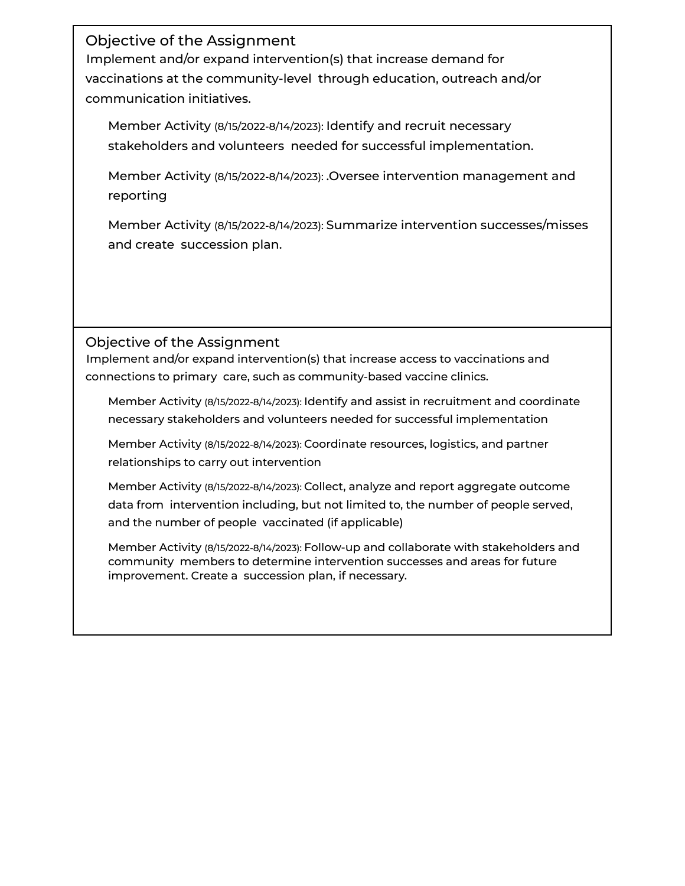Implement and/or expand intervention(s) that increase demand for vaccinations at the community-level through education, outreach and/or communication initiatives.

Member Activity (8/15/2022-8/14/2023): Identify and recruit necessary stakeholders and volunteers needed for successful implementation.

Member Activity (8/15/2022-8/14/2023): .Oversee intervention management and reporting

Member Activity (8/15/2022-8/14/2023): Summarize intervention successes/misses and create succession plan.

Objective of the Assignment

Implement and/or expand intervention(s) that increase access to vaccinations and connections to primary care, such as community-based vaccine clinics.

Member Activity (8/15/2022-8/14/2023): Identify and assist in recruitment and coordinate necessary stakeholders and volunteers needed for successful implementation

Member Activity (8/15/2022-8/14/2023): Coordinate resources, logistics, and partner relationships to carry out intervention

Member Activity (8/15/2022-8/14/2023): Collect, analyze and report aggregate outcome data from intervention including, but not limited to, the number of people served, and the number of people vaccinated (if applicable)

Member Activity (8/15/2022-8/14/2023): Follow-up and collaborate with stakeholders and community members to determine intervention successes and areas for future improvement. Create a succession plan, if necessary.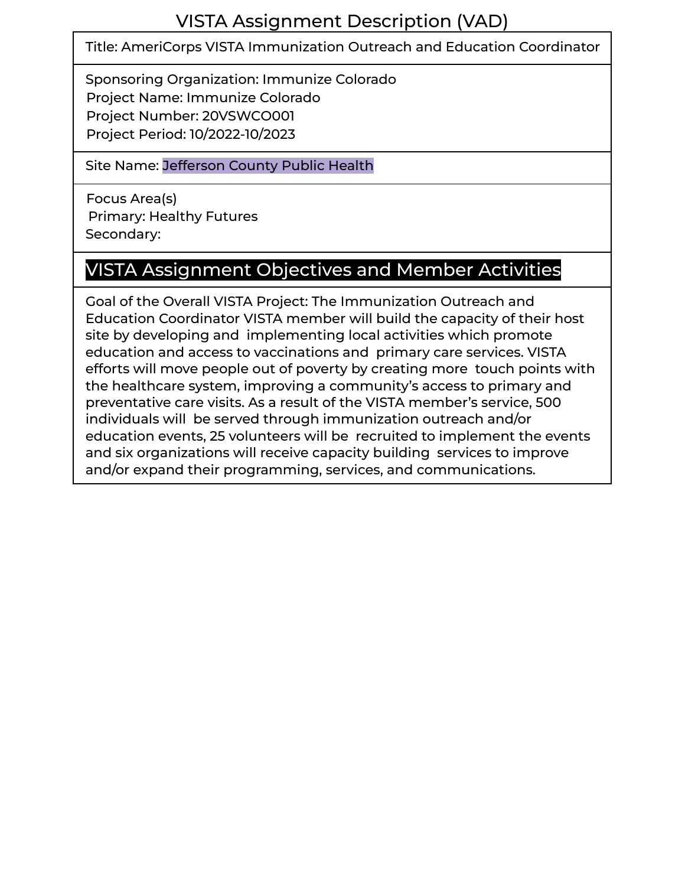Title: AmeriCorps VISTA Immunization Outreach and Education Coordinator

Sponsoring Organization: Immunize Colorado Project Name: Immunize Colorado Project Number: 20VSWCO001 Project Period: 10/2022-10/2023

### Site Name: Jefferson County Public Health

Focus Area(s) Primary: Healthy Futures Secondary:

### VISTA Assignment Objectives and Member Activities

Goal of the Overall VISTA Project: The Immunization Outreach and Education Coordinator VISTA member will build the capacity of their host site by developing and implementing local activities which promote education and access to vaccinations and primary care services. VISTA efforts will move people out of poverty by creating more touch points with the healthcare system, improving a community's access to primary and preventative care visits. As a result of the VISTA member's service, 500 individuals will be served through immunization outreach and/or education events, 25 volunteers will be recruited to implement the events and six organizations will receive capacity building services to improve and/or expand their programming, services, and communications.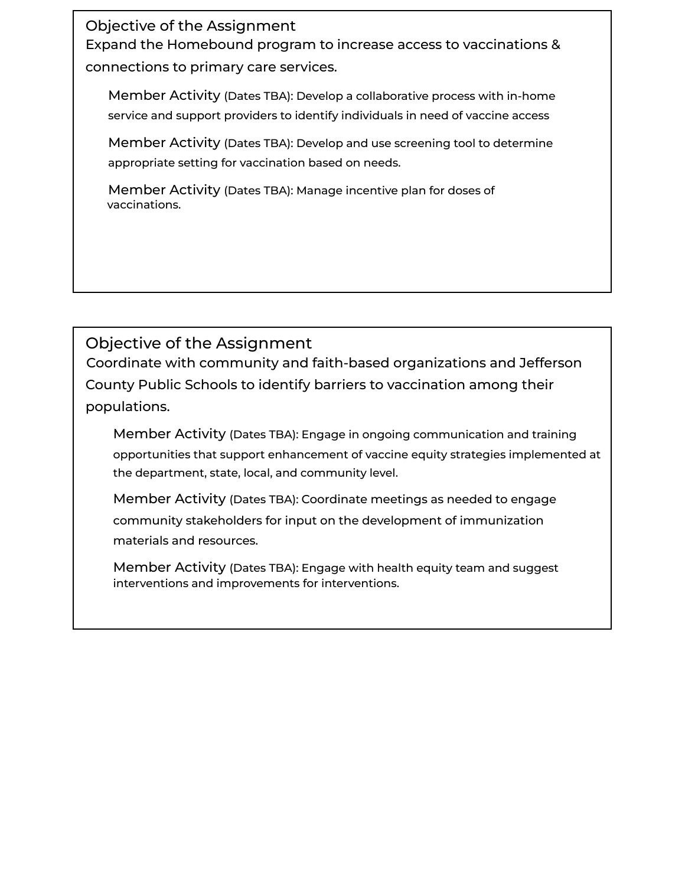Expand the Homebound program to increase access to vaccinations & connections to primary care services.

Member Activity (Dates TBA): Develop a collaborative process with in-home service and support providers to identify individuals in need of vaccine access

Member Activity (Dates TBA): Develop and use screening tool to determine appropriate setting for vaccination based on needs.

Member Activity (Dates TBA): Manage incentive plan for doses of vaccinations.

### Objective of the Assignment

Coordinate with community and faith-based organizations and Jefferson County Public Schools to identify barriers to vaccination among their populations.

Member Activity (Dates TBA): Engage in ongoing communication and training opportunities that support enhancement of vaccine equity strategies implemented at the department, state, local, and community level.

Member Activity (Dates TBA): Coordinate meetings as needed to engage community stakeholders for input on the development of immunization materials and resources.

Member Activity (Dates TBA): Engage with health equity team and suggest interventions and improvements for interventions.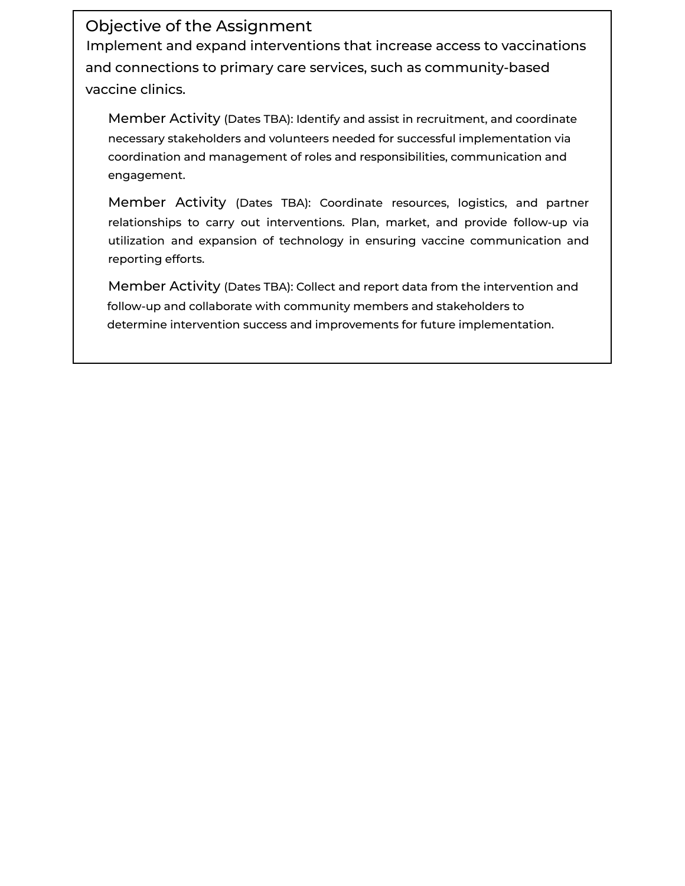Implement and expand interventions that increase access to vaccinations and connections to primary care services, such as community-based vaccine clinics.

Member Activity (Dates TBA): Identify and assist in recruitment, and coordinate necessary stakeholders and volunteers needed for successful implementation via coordination and management of roles and responsibilities, communication and engagement.

Member Activity (Dates TBA): Coordinate resources, logistics, and partner relationships to carry out interventions. Plan, market, and provide follow-up via utilization and expansion of technology in ensuring vaccine communication and reporting efforts.

Member Activity (Dates TBA): Collect and report data from the intervention and follow-up and collaborate with community members and stakeholders to determine intervention success and improvements for future implementation.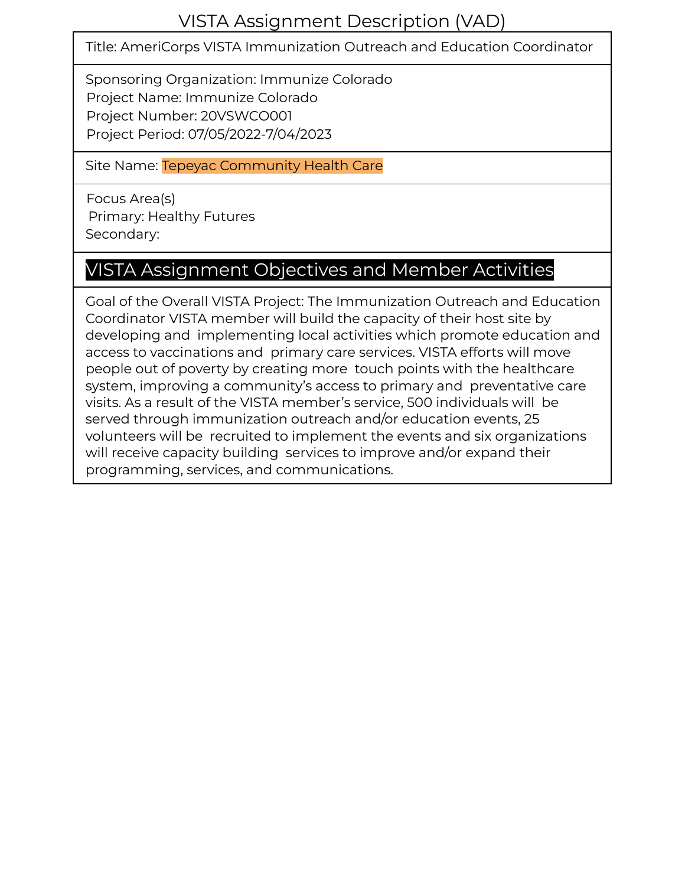Title: AmeriCorps VISTA Immunization Outreach and Education Coordinator

Sponsoring Organization: Immunize Colorado Project Name: Immunize Colorado Project Number: 20VSWCO001 Project Period: 07/05/2022-7/04/2023

### Site Name: Tepeyac Community Health Care

Focus Area(s) Primary: Healthy Futures Secondary:

### VISTA Assignment Objectives and Member Activities

Goal of the Overall VISTA Project: The Immunization Outreach and Education Coordinator VISTA member will build the capacity of their host site by developing and implementing local activities which promote education and access to vaccinations and primary care services. VISTA efforts will move people out of poverty by creating more touch points with the healthcare system, improving a community's access to primary and preventative care visits. As a result of the VISTA member's service, 500 individuals will be served through immunization outreach and/or education events, 25 volunteers will be recruited to implement the events and six organizations will receive capacity building services to improve and/or expand their programming, services, and communications.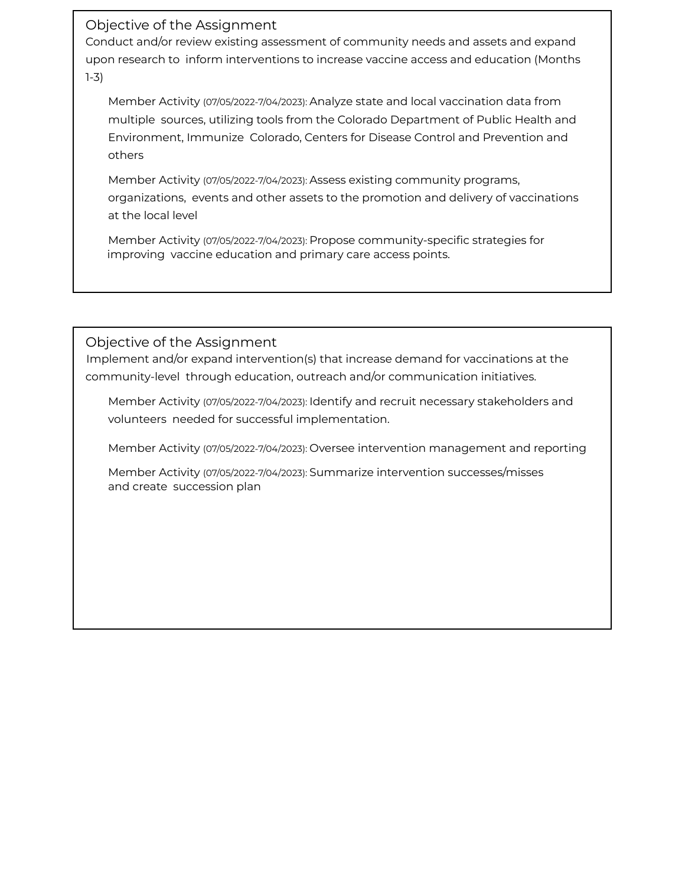Conduct and/or review existing assessment of community needs and assets and expand upon research to inform interventions to increase vaccine access and education (Months 1-3)

Member Activity (07/05/2022-7/04/2023): Analyze state and local vaccination data from multiple sources, utilizing tools from the Colorado Department of Public Health and Environment, Immunize Colorado, Centers for Disease Control and Prevention and others

Member Activity (07/05/2022-7/04/2023): Assess existing community programs, organizations, events and other assets to the promotion and delivery of vaccinations at the local level

Member Activity (07/05/2022-7/04/2023): Propose community-specific strategies for improving vaccine education and primary care access points.

Objective of the Assignment

Implement and/or expand intervention(s) that increase demand for vaccinations at the community-level through education, outreach and/or communication initiatives.

Member Activity (07/05/2022-7/04/2023): Identify and recruit necessary stakeholders and volunteers needed for successful implementation.

Member Activity (07/05/2022-7/04/2023): Oversee intervention management and reporting

Member Activity (07/05/2022-7/04/2023): Summarize intervention successes/misses and create succession plan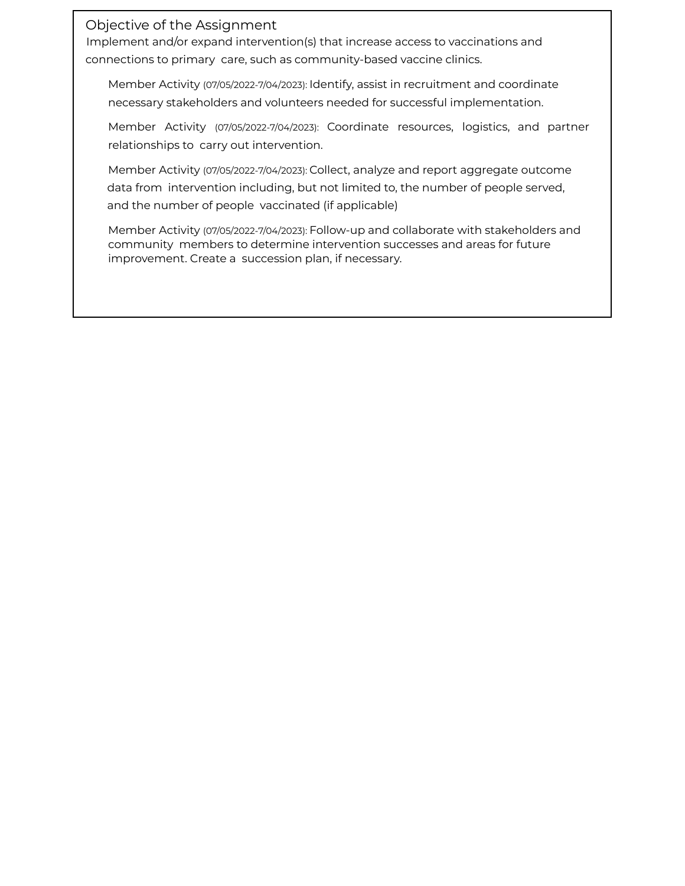Implement and/or expand intervention(s) that increase access to vaccinations and connections to primary care, such as community-based vaccine clinics.

Member Activity (07/05/2022-7/04/2023): Identify, assist in recruitment and coordinate necessary stakeholders and volunteers needed for successful implementation.

Member Activity (07/05/2022-7/04/2023): Coordinate resources, logistics, and partner relationships to carry out intervention.

Member Activity (07/05/2022-7/04/2023): Collect, analyze and report aggregate outcome data from intervention including, but not limited to, the number of people served, and the number of people vaccinated (if applicable)

Member Activity (07/05/2022-7/04/2023): Follow-up and collaborate with stakeholders and community members to determine intervention successes and areas for future improvement. Create a succession plan, if necessary.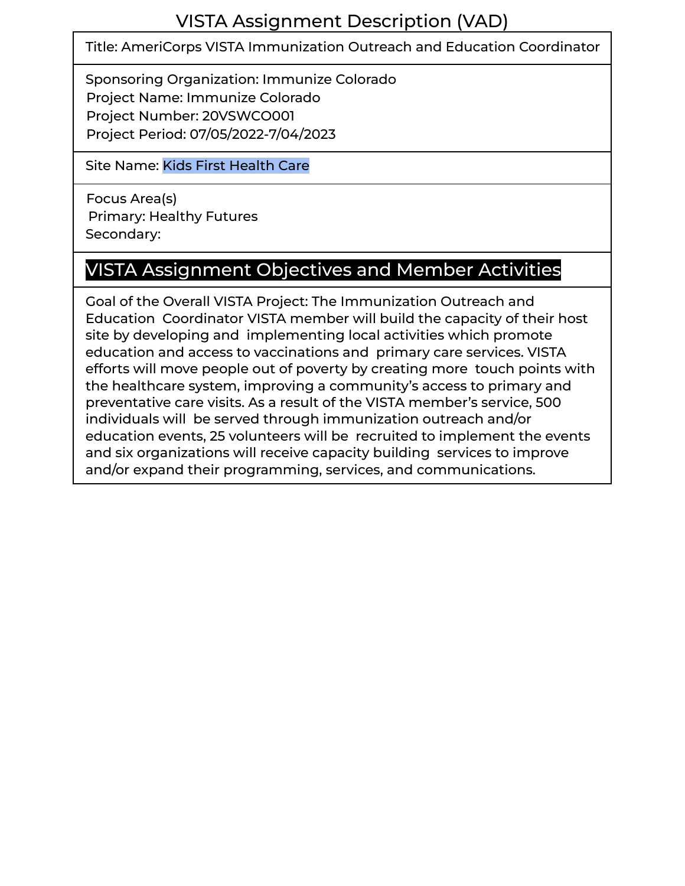Title: AmeriCorps VISTA Immunization Outreach and Education Coordinator

Sponsoring Organization: Immunize Colorado Project Name: Immunize Colorado Project Number: 20VSWCO001 Project Period: 07/05/2022-7/04/2023

Site Name: Kids First Health Care

Focus Area(s) Primary: Healthy Futures Secondary:

## VISTA Assignment Objectives and Member Activities

Goal of the Overall VISTA Project: The Immunization Outreach and Education Coordinator VISTA member will build the capacity of their host site by developing and implementing local activities which promote education and access to vaccinations and primary care services. VISTA efforts will move people out of poverty by creating more touch points with the healthcare system, improving a community's access to primary and preventative care visits. As a result of the VISTA member's service, 500 individuals will be served through immunization outreach and/or education events, 25 volunteers will be recruited to implement the events and six organizations will receive capacity building services to improve and/or expand their programming, services, and communications.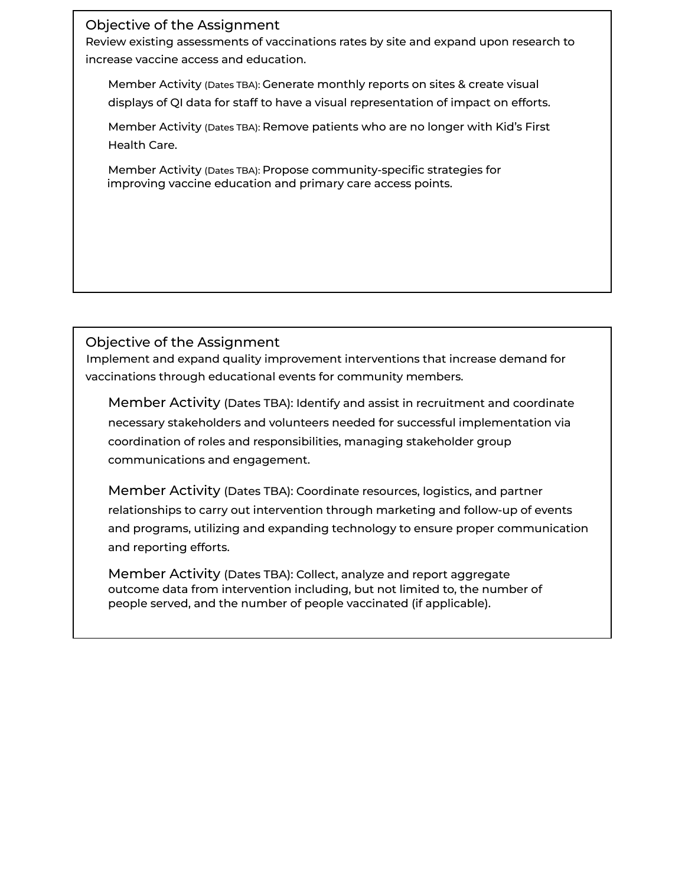Review existing assessments of vaccinations rates by site and expand upon research to increase vaccine access and education.

Member Activity (Dates TBA): Generate monthly reports on sites & create visual displays of QI data for staff to have a visual representation of impact on efforts.

Member Activity (Dates TBA): Remove patients who are no longer with Kid's First Health Care.

Member Activity (Dates TBA): Propose community-specific strategies for improving vaccine education and primary care access points.

Objective of the Assignment

Implement and expand quality improvement interventions that increase demand for vaccinations through educational events for community members.

Member Activity (Dates TBA): Identify and assist in recruitment and coordinate necessary stakeholders and volunteers needed for successful implementation via coordination of roles and responsibilities, managing stakeholder group communications and engagement.

Member Activity (Dates TBA): Coordinate resources, logistics, and partner relationships to carry out intervention through marketing and follow-up of events and programs, utilizing and expanding technology to ensure proper communication and reporting efforts.

Member Activity (Dates TBA): Collect, analyze and report aggregate outcome data from intervention including, but not limited to, the number of people served, and the number of people vaccinated (if applicable).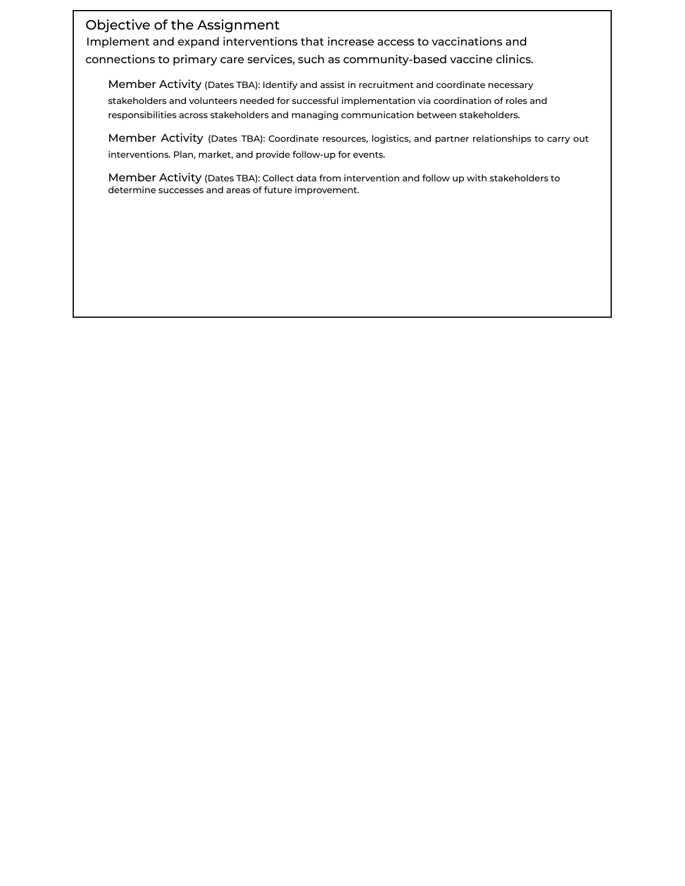Implement and expand interventions that increase access to vaccinations and connections to primary care services, such as community-based vaccine clinics.

Member Activity (Dates TBA): Identify and assist in recruitment and coordinate necessary stakeholders and volunteers needed for successful implementation via coordination of roles and responsibilities across stakeholders and managing communication between stakeholders.

Member Activity (Dates TBA): Coordinate resources, logistics, and partner relationships to carry out interventions. Plan, market, and provide follow-up for events.

Member Activity (Dates TBA): Collect data from intervention and follow up with stakeholders to determine successes and areas of future improvement.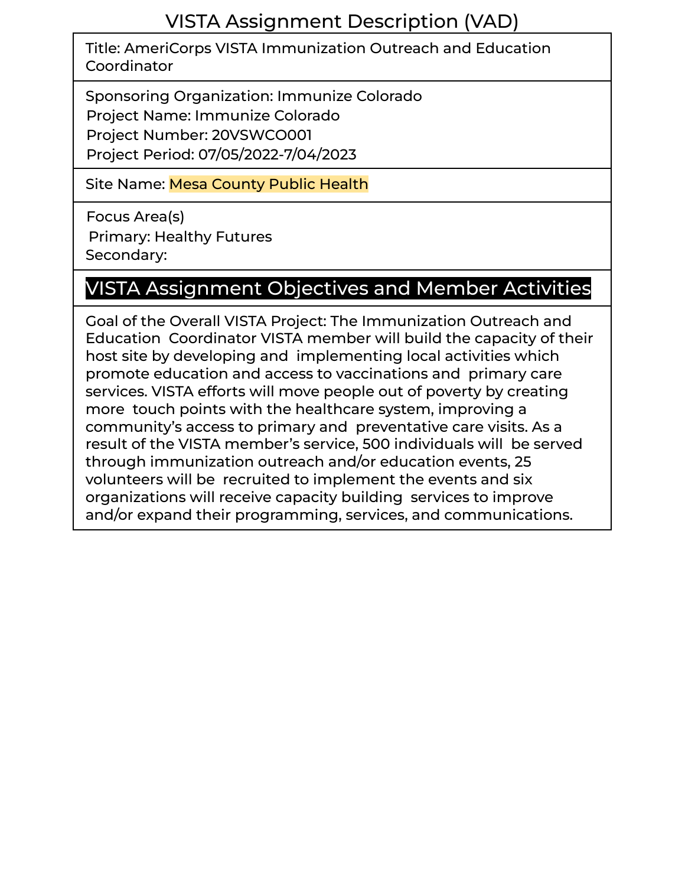Title: AmeriCorps VISTA Immunization Outreach and Education Coordinator

Sponsoring Organization: Immunize Colorado Project Name: Immunize Colorado Project Number: 20VSWCO001 Project Period: 07/05/2022-7/04/2023

Site Name: Mesa County Public Health

Focus Area(s) Primary: Healthy Futures Secondary:

# VISTA Assignment Objectives and Member Activities

Goal of the Overall VISTA Project: The Immunization Outreach and Education Coordinator VISTA member will build the capacity of their host site by developing and implementing local activities which promote education and access to vaccinations and primary care services. VISTA efforts will move people out of poverty by creating more touch points with the healthcare system, improving a community's access to primary and preventative care visits. As a result of the VISTA member's service, 500 individuals will be served through immunization outreach and/or education events, 25 volunteers will be recruited to implement the events and six organizations will receive capacity building services to improve and/or expand their programming, services, and communications.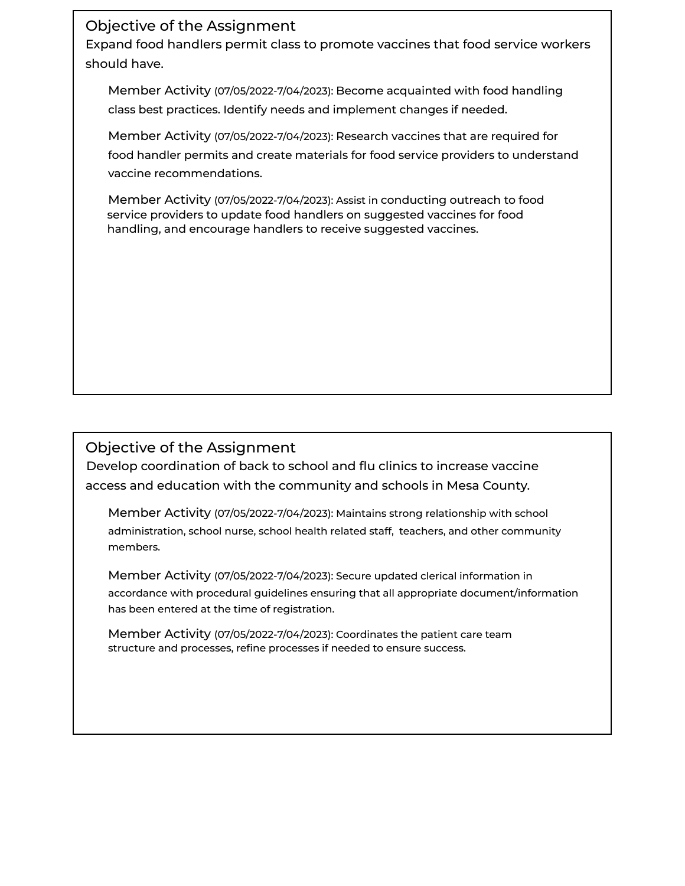Expand food handlers permit class to promote vaccines that food service workers should have.

Member Activity (07/05/2022-7/04/2023): Become acquainted with food handling class best practices. Identify needs and implement changes if needed.

Member Activity (07/05/2022-7/04/2023): Research vaccines that are required for food handler permits and create materials for food service providers to understand vaccine recommendations.

Member Activity (07/05/2022-7/04/2023): Assist in conducting outreach to food service providers to update food handlers on suggested vaccines for food handling, and encourage handlers to receive suggested vaccines.

### Objective of the Assignment

Develop coordination of back to school and flu clinics to increase vaccine access and education with the community and schools in Mesa County.

Member Activity (07/05/2022-7/04/2023): Maintains strong relationship with school administration, school nurse, school health related staff, teachers, and other community members.

Member Activity (07/05/2022-7/04/2023): Secure updated clerical information in accordance with procedural guidelines ensuring that all appropriate document/information has been entered at the time of registration.

Member Activity (07/05/2022-7/04/2023): Coordinates the patient care team structure and processes, refine processes if needed to ensure success.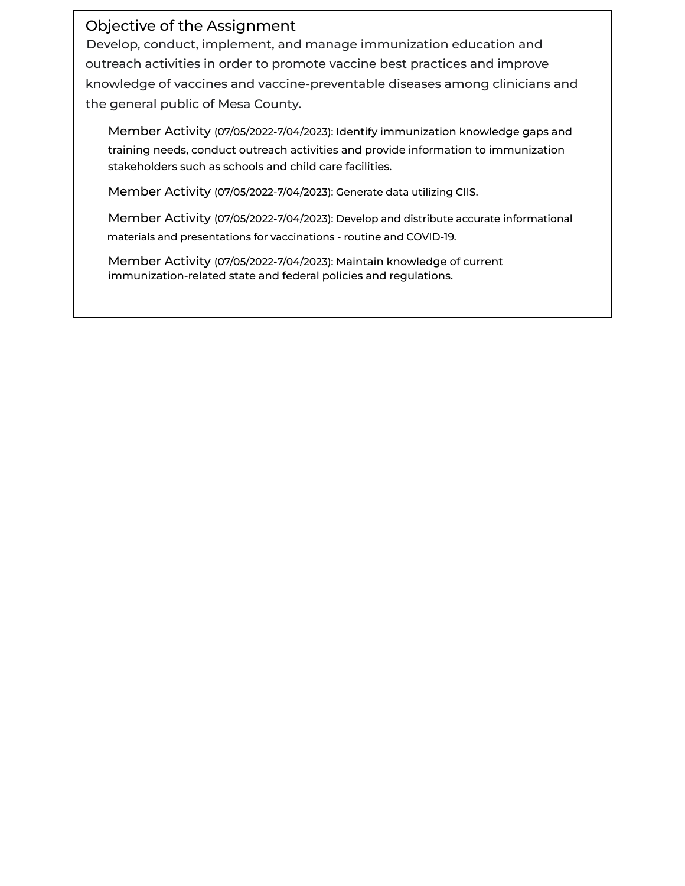Develop, conduct, implement, and manage immunization education and outreach activities in order to promote vaccine best practices and improve knowledge of vaccines and vaccine-preventable diseases among clinicians and the general public of Mesa County.

Member Activity (07/05/2022-7/04/2023): Identify immunization knowledge gaps and training needs, conduct outreach activities and provide information to immunization stakeholders such as schools and child care facilities.

Member Activity (07/05/2022-7/04/2023): Generate data utilizing CIIS.

Member Activity (07/05/2022-7/04/2023): Develop and distribute accurate informational materials and presentations for vaccinations - routine and COVID-19.

Member Activity (07/05/2022-7/04/2023): Maintain knowledge of current immunization-related state and federal policies and regulations.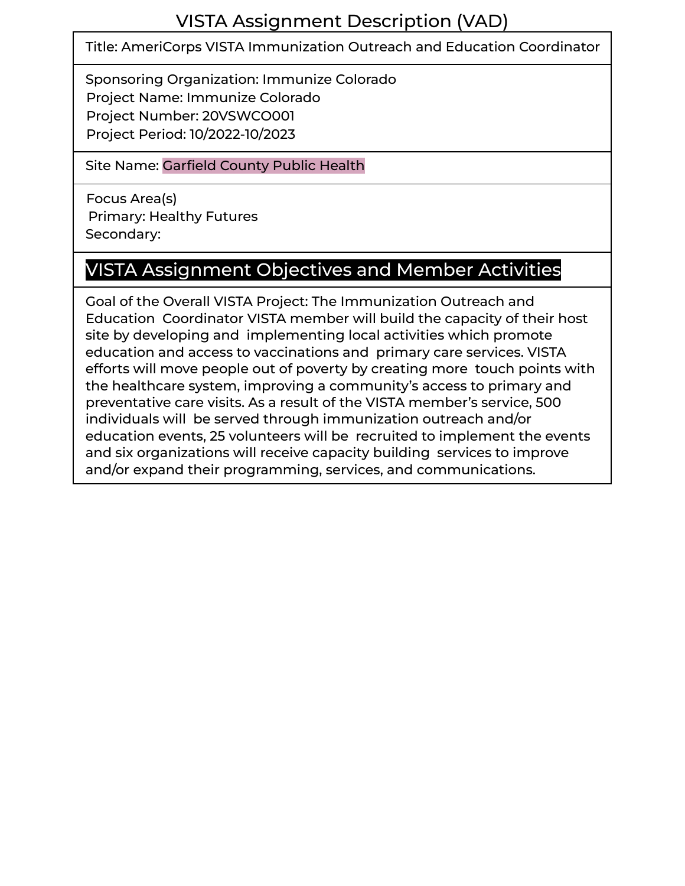Title: AmeriCorps VISTA Immunization Outreach and Education Coordinator

Sponsoring Organization: Immunize Colorado Project Name: Immunize Colorado Project Number: 20VSWCO001 Project Period: 10/2022-10/2023

### Site Name: Garfield County Public Health

Focus Area(s) Primary: Healthy Futures Secondary:

### VISTA Assignment Objectives and Member Activities

Goal of the Overall VISTA Project: The Immunization Outreach and Education Coordinator VISTA member will build the capacity of their host site by developing and implementing local activities which promote education and access to vaccinations and primary care services. VISTA efforts will move people out of poverty by creating more touch points with the healthcare system, improving a community's access to primary and preventative care visits. As a result of the VISTA member's service, 500 individuals will be served through immunization outreach and/or education events, 25 volunteers will be recruited to implement the events and six organizations will receive capacity building services to improve and/or expand their programming, services, and communications.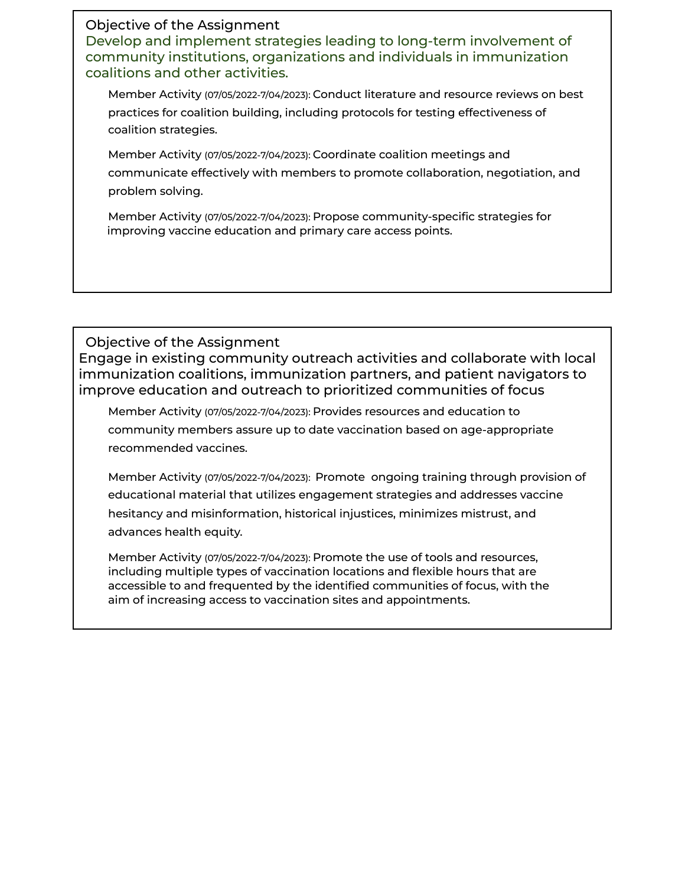Develop and implement strategies leading to long-term involvement of community institutions, organizations and individuals in immunization coalitions and other activities.

Member Activity (07/05/2022-7/04/2023): Conduct literature and resource reviews on best practices for coalition building, including protocols for testing effectiveness of coalition strategies.

Member Activity (07/05/2022-7/04/2023): Coordinate coalition meetings and communicate effectively with members to promote collaboration, negotiation, and problem solving.

Member Activity (07/05/2022-7/04/2023): Propose community-specific strategies for improving vaccine education and primary care access points.

Objective of the Assignment Engage in existing community outreach activities and collaborate with local immunization coalitions, immunization partners, and patient navigators to improve education and outreach to prioritized communities of focus

Member Activity (07/05/2022-7/04/2023): Provides resources and education to community members assure up to date vaccination based on age-appropriate recommended vaccines.

Member Activity (07/05/2022-7/04/2023): Promote ongoing training through provision of educational material that utilizes engagement strategies and addresses vaccine hesitancy and misinformation, historical injustices, minimizes mistrust, and advances health equity.

Member Activity (07/05/2022-7/04/2023): Promote the use of tools and resources, including multiple types of vaccination locations and flexible hours that are accessible to and frequented by the identified communities of focus, with the aim of increasing access to vaccination sites and appointments.